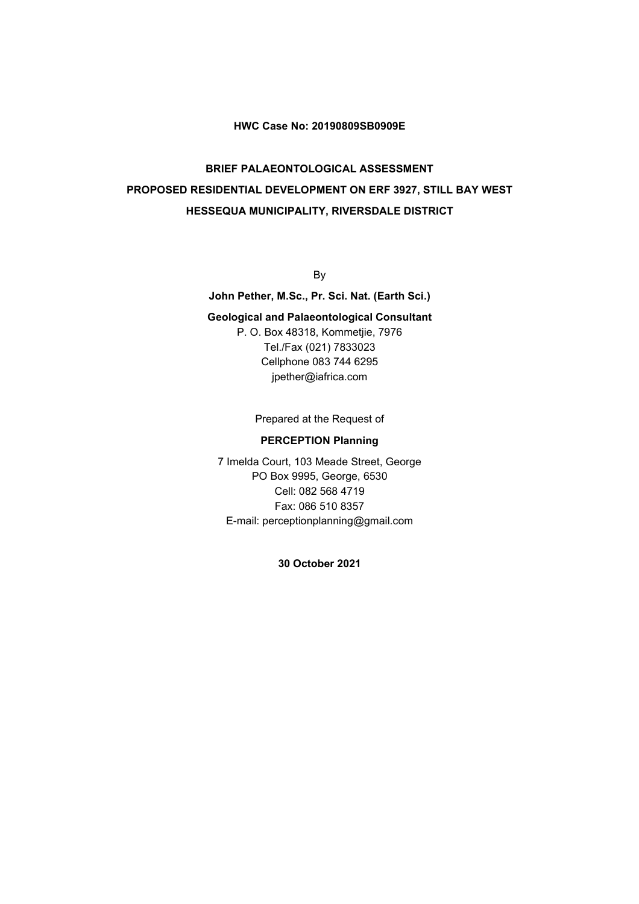#### **HWC Case No: 20190809SB0909E**

# **BRIEF PALAEONTOLOGICAL ASSESSMENT PROPOSED RESIDENTIAL DEVELOPMENT ON ERF 3927, STILL BAY WEST HESSEQUA MUNICIPALITY, RIVERSDALE DISTRICT**

By

**John Pether, M.Sc., Pr. Sci. Nat. (Earth Sci.)**

#### **Geological and Palaeontological Consultant**

P. O. Box 48318, Kommetjie, 7976 Tel./Fax (021) 7833023 Cellphone 083 744 6295 jpether@iafrica.com

Prepared at the Request of

#### **PERCEPTION Planning**

7 Imelda Court, 103 Meade Street, George PO Box 9995, George, 6530 Cell: 082 568 4719 Fax: 086 510 8357 E-mail: perceptionplanning@gmail.com

**30 October 2021**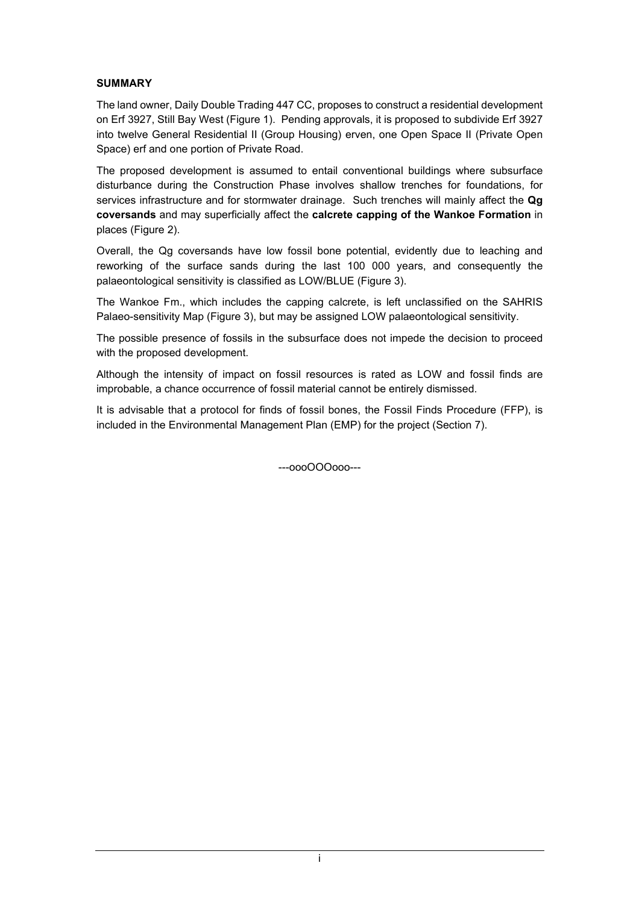### **SUMMARY**

The land owner, Daily Double Trading 447 CC, proposes to construct a residential development on Erf 3927, Still Bay West (Figure 1). Pending approvals, it is proposed to subdivide Erf 3927 into twelve General Residential II (Group Housing) erven, one Open Space II (Private Open Space) erf and one portion of Private Road.

The proposed development is assumed to entail conventional buildings where subsurface disturbance during the Construction Phase involves shallow trenches for foundations, for services infrastructure and for stormwater drainage. Such trenches will mainly affect the **Qg coversands** and may superficially affect the **calcrete capping of the Wankoe Formation** in places (Figure 2).

Overall, the Qg coversands have low fossil bone potential, evidently due to leaching and reworking of the surface sands during the last 100 000 years, and consequently the palaeontological sensitivity is classified as LOW/BLUE (Figure 3).

The Wankoe Fm., which includes the capping calcrete, is left unclassified on the SAHRIS Palaeo-sensitivity Map (Figure 3), but may be assigned LOW palaeontological sensitivity.

The possible presence of fossils in the subsurface does not impede the decision to proceed with the proposed development.

Although the intensity of impact on fossil resources is rated as LOW and fossil finds are improbable, a chance occurrence of fossil material cannot be entirely dismissed.

It is advisable that a protocol for finds of fossil bones, the Fossil Finds Procedure (FFP), is included in the Environmental Management Plan (EMP) for the project (Section 7).

---oooOOOooo---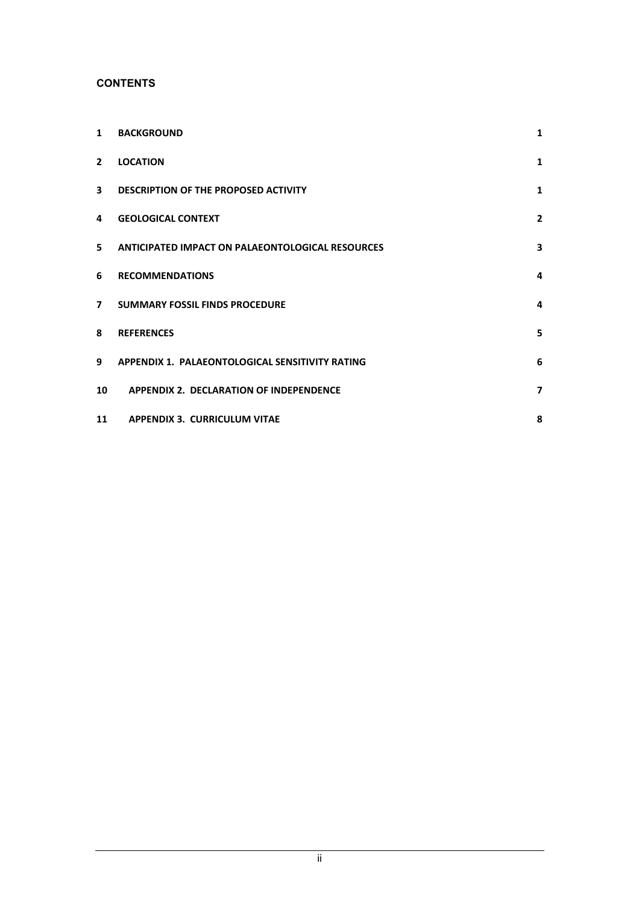### **CONTENTS**

| $\mathbf{1}$             | <b>BACKGROUND</b>                                | 1                       |
|--------------------------|--------------------------------------------------|-------------------------|
| $\overline{2}$           | <b>LOCATION</b>                                  | $\mathbf{1}$            |
| $\overline{\mathbf{3}}$  | DESCRIPTION OF THE PROPOSED ACTIVITY             | $\mathbf{1}$            |
| 4                        | <b>GEOLOGICAL CONTEXT</b>                        | $\mathbf{2}$            |
| 5                        | ANTICIPATED IMPACT ON PALAEONTOLOGICAL RESOURCES | 3                       |
| 6                        | <b>RECOMMENDATIONS</b>                           | 4                       |
| $\overline{\phantom{a}}$ | <b>SUMMARY FOSSIL FINDS PROCEDURE</b>            | 4                       |
| 8                        | <b>REFERENCES</b>                                | 5                       |
| 9                        | APPENDIX 1. PALAEONTOLOGICAL SENSITIVITY RATING  | 6                       |
| 10                       | APPENDIX 2. DECLARATION OF INDEPENDENCE          | $\overline{\mathbf{z}}$ |
| 11                       | <b>APPENDIX 3. CURRICULUM VITAE</b>              | 8                       |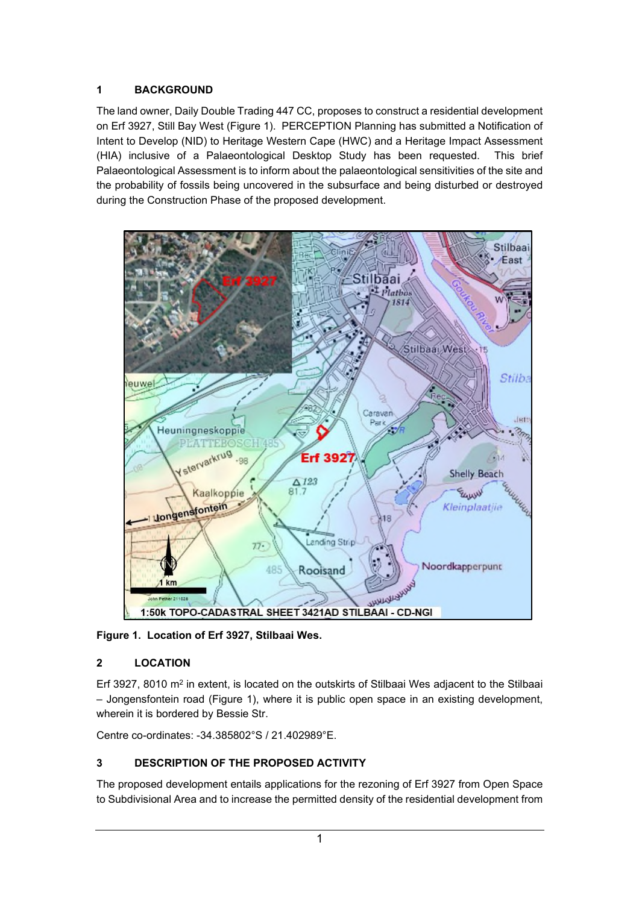# **1 BACKGROUND**

The land owner, Daily Double Trading 447 CC, proposes to construct a residential development on Erf 3927, Still Bay West (Figure 1). PERCEPTION Planning has submitted a Notification of Intent to Develop (NID) to Heritage Western Cape (HWC) and a Heritage Impact Assessment (HIA) inclusive of a Palaeontological Desktop Study has been requested. This brief Palaeontological Assessment is to inform about the palaeontological sensitivities of the site and the probability of fossils being uncovered in the subsurface and being disturbed or destroyed during the Construction Phase of the proposed development.



**Figure 1. Location of Erf 3927, Stilbaai Wes.**

# **2 LOCATION**

Erf 3927, 8010  $m^2$  in extent, is located on the outskirts of Stilbaai Wes adjacent to the Stilbaai – Jongensfontein road (Figure 1), where it is public open space in an existing development, wherein it is bordered by Bessie Str.

Centre co-ordinates: -34.385802°S / 21.402989°E.

# **3 DESCRIPTION OF THE PROPOSED ACTIVITY**

The proposed development entails applications for the rezoning of Erf 3927 from Open Space to Subdivisional Area and to increase the permitted density of the residential development from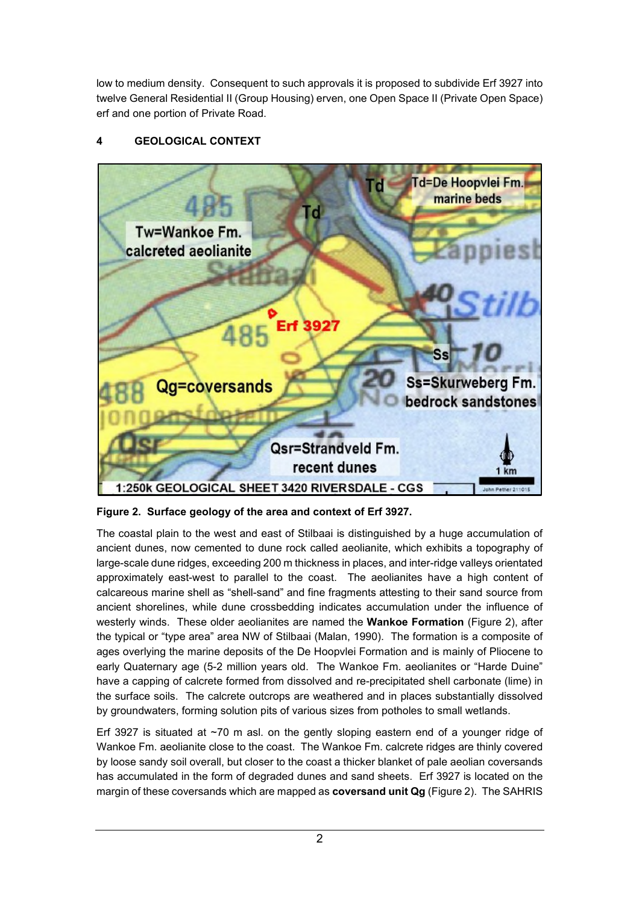low to medium density. Consequent to such approvals it is proposed to subdivide Erf 3927 into twelve General Residential II (Group Housing) erven, one Open Space II (Private Open Space) erf and one portion of Private Road.

# **4 GEOLOGICAL CONTEXT**



**Figure 2. Surface geology of the area and context of Erf 3927.**

Erf 3927 is situated at  $\sim$ 70 m asl. on the gently sloping eastern end of a younger ridge of Wankoe Fm. aeolianite close to the coast. The Wankoe Fm. calcrete ridges are thinly covered by loose sandy soil overall, but closer to the coast a thicker blanket of pale aeolian coversands has accumulated in the form of degraded dunes and sand sheets. Erf 3927 is located on the margin of these coversands which are mapped as **coversand unit Qg** (Figure 2). The SAHRIS

The coastal plain to the west and east of Stilbaai is distinguished by a huge accumulation of ancient dunes, now cemented to dune rock called aeolianite, which exhibits a topography of large-scale dune ridges, exceeding 200 m thickness in places, and inter-ridge valleys orientated approximately east-west to parallel to the coast. The aeolianites have a high content of calcareous marine shell as "shell-sand" and fine fragments attesting to their sand source from ancient shorelines, while dune crossbedding indicates accumulation under the influence of westerly winds. These older aeolianites are named the **Wankoe Formation** (Figure 2), after the typical or "type area" area NW of Stilbaai (Malan, 1990). The formation is a composite of ages overlying the marine deposits of the De Hoopvlei Formation and is mainly of Pliocene to early Quaternary age (5-2 million years old. The Wankoe Fm. aeolianites or "Harde Duine" have a capping of calcrete formed from dissolved and re-precipitated shell carbonate (lime) in the surface soils. The calcrete outcrops are weathered and in places substantially dissolved by groundwaters, forming solution pits of various sizes from potholes to small wetlands.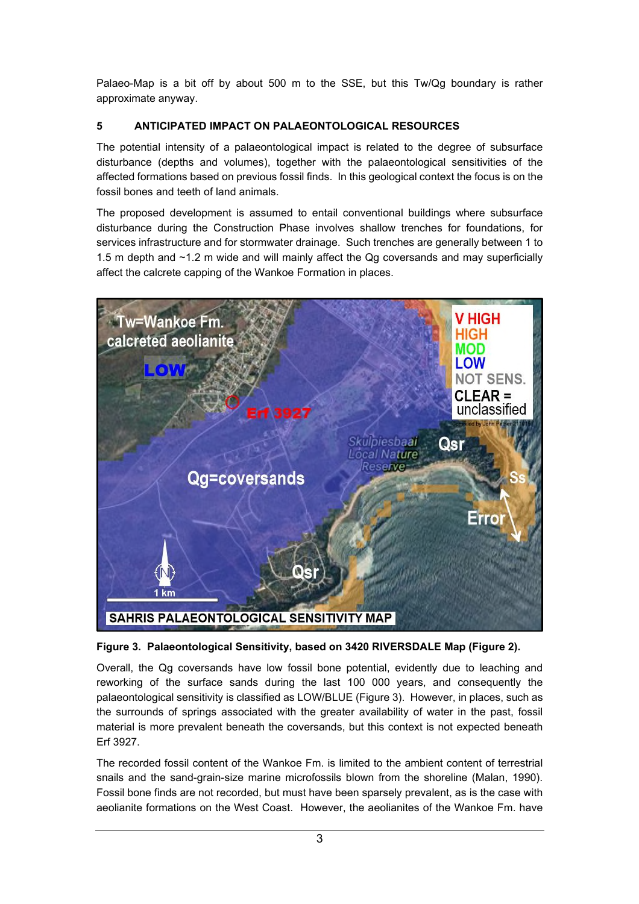Palaeo-Map is a bit off by about 500 m to the SSE, but this Tw/Qg boundary is rather approximate anyway.

## **5 ANTICIPATED IMPACT ON PALAEONTOLOGICAL RESOURCES**

The potential intensity of a palaeontological impact is related to the degree of subsurface disturbance (depths and volumes), together with the palaeontological sensitivities of the affected formations based on previous fossil finds. In this geological context the focus is on the fossil bones and teeth of land animals.

The proposed development is assumed to entail conventional buildings where subsurface disturbance during the Construction Phase involves shallow trenches for foundations, for services infrastructure and for stormwater drainage. Such trenches are generally between 1 to 1.5 m depth and ~1.2 m wide and will mainly affect the Qg coversands and may superficially affect the calcrete capping of the Wankoe Formation in places.





Overall, the Qg coversands have low fossil bone potential, evidently due to leaching and reworking of the surface sands during the last 100 000 years, and consequently the palaeontological sensitivity is classified as LOW/BLUE (Figure 3). However, in places, such as the surrounds of springs associated with the greater availability of water in the past, fossil material is more prevalent beneath the coversands, but this context is not expected beneath Erf 3927.

The recorded fossil content of the Wankoe Fm. is limited to the ambient content of terrestrial snails and the sand-grain-size marine microfossils blown from the shoreline (Malan, 1990). Fossil bone finds are not recorded, but must have been sparsely prevalent, as is the case with aeolianite formations on the West Coast. However, the aeolianites of the Wankoe Fm. have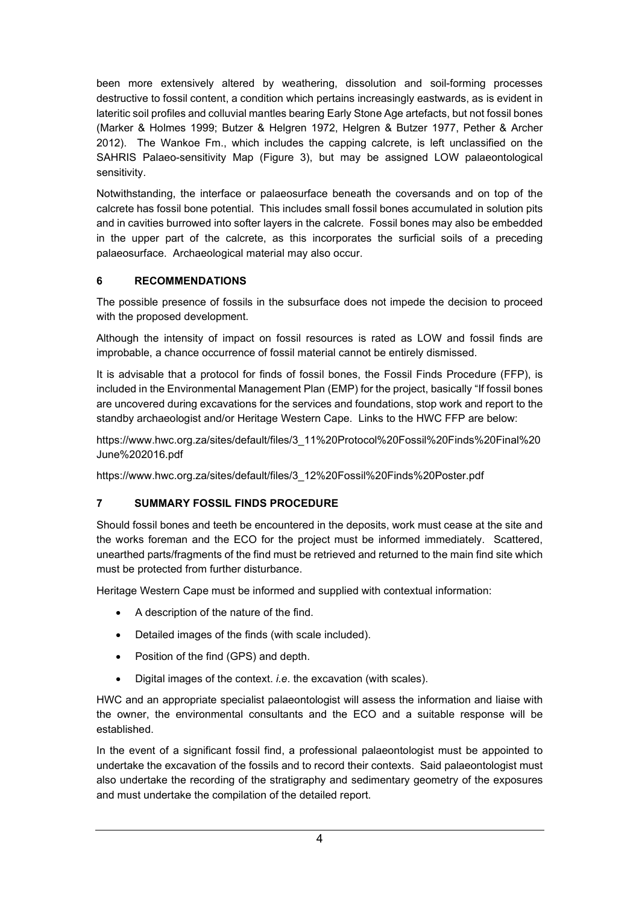been more extensively altered by weathering, dissolution and soil-forming processes destructive to fossil content, a condition which pertains increasingly eastwards, as is evident in lateritic soil profiles and colluvial mantles bearing Early Stone Age artefacts, but not fossil bones (Marker & Holmes 1999; Butzer & Helgren 1972, Helgren & Butzer 1977, Pether & Archer 2012). The Wankoe Fm., which includes the capping calcrete, is left unclassified on the SAHRIS Palaeo-sensitivity Map (Figure 3), but may be assigned LOW palaeontological sensitivity.

Notwithstanding, the interface or palaeosurface beneath the coversands and on top of the calcrete has fossil bone potential. This includes small fossil bones accumulated in solution pits and in cavities burrowed into softer layers in the calcrete. Fossil bones may also be embedded in the upper part of the calcrete, as this incorporates the surficial soils of a preceding palaeosurface. Archaeological material may also occur.

## **6 RECOMMENDATIONS**

The possible presence of fossils in the subsurface does not impede the decision to proceed with the proposed development.

Although the intensity of impact on fossil resources is rated as LOW and fossil finds are improbable, a chance occurrence of fossil material cannot be entirely dismissed.

It is advisable that a protocol for finds of fossil bones, the Fossil Finds Procedure (FFP), is included in the Environmental Management Plan (EMP) for the project, basically "If fossil bones are uncovered during excavations for the services and foundations, stop work and report to the standby archaeologist and/or Heritage Western Cape. Links to the HWC FFP are below:

https://www.hwc.org.za/sites/default/files/3\_11%20Protocol%20Fossil%20Finds%20Final%20 June%202016.pdf

https://www.hwc.org.za/sites/default/files/3\_12%20Fossil%20Finds%20Poster.pdf

### **7 SUMMARY FOSSIL FINDS PROCEDURE**

Should fossil bones and teeth be encountered in the deposits, work must cease at the site and the works foreman and the ECO for the project must be informed immediately. Scattered, unearthed parts/fragments of the find must be retrieved and returned to the main find site which must be protected from further disturbance.

Heritage Western Cape must be informed and supplied with contextual information:

- A description of the nature of the find.
- Detailed images of the finds (with scale included).
- Position of the find (GPS) and depth.
- Digital images of the context. *i.e*. the excavation (with scales).

HWC and an appropriate specialist palaeontologist will assess the information and liaise with the owner, the environmental consultants and the ECO and a suitable response will be established.

In the event of a significant fossil find, a professional palaeontologist must be appointed to undertake the excavation of the fossils and to record their contexts. Said palaeontologist must also undertake the recording of the stratigraphy and sedimentary geometry of the exposures and must undertake the compilation of the detailed report.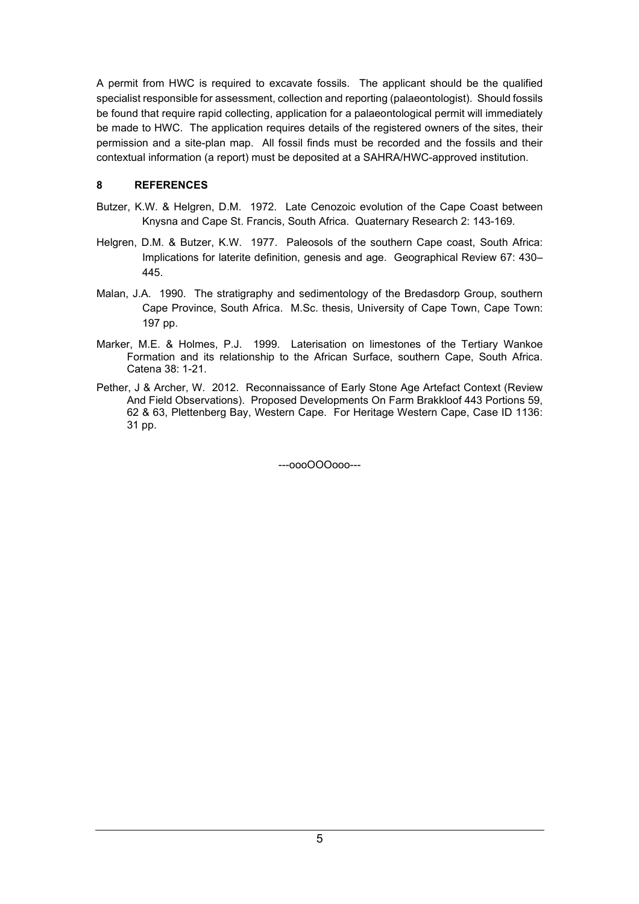A permit from HWC is required to excavate fossils. The applicant should be the qualified specialist responsible for assessment, collection and reporting (palaeontologist). Should fossils be found that require rapid collecting, application for a palaeontological permit will immediately be made to HWC. The application requires details of the registered owners of the sites, their permission and a site-plan map. All fossil finds must be recorded and the fossils and their contextual information (a report) must be deposited at a SAHRA/HWC-approved institution.

### **8 REFERENCES**

- Butzer, K.W. & Helgren, D.M. 1972. Late Cenozoic evolution of the Cape Coast between Knysna and Cape St. Francis, South Africa. Quaternary Research 2: 143-169.
- Helgren, D.M. & Butzer, K.W. 1977. Paleosols of the southern Cape coast, South Africa: Implications for laterite definition, genesis and age. Geographical Review 67: 430– 445.
- Malan, J.A. 1990. The stratigraphy and sedimentology of the Bredasdorp Group, southern Cape Province, South Africa. M.Sc. thesis, University of Cape Town, Cape Town: 197 pp.
- Marker, M.E. & Holmes, P.J. 1999. Laterisation on limestones of the Tertiary Wankoe Formation and its relationship to the African Surface, southern Cape, South Africa. Catena 38: 1-21.
- Pether, J & Archer, W. 2012. Reconnaissance of Early Stone Age Artefact Context (Review And Field Observations). Proposed Developments On Farm Brakkloof 443 Portions 59, 62 & 63, Plettenberg Bay, Western Cape. For Heritage Western Cape, Case ID 1136: 31 pp.

---oooOOOooo---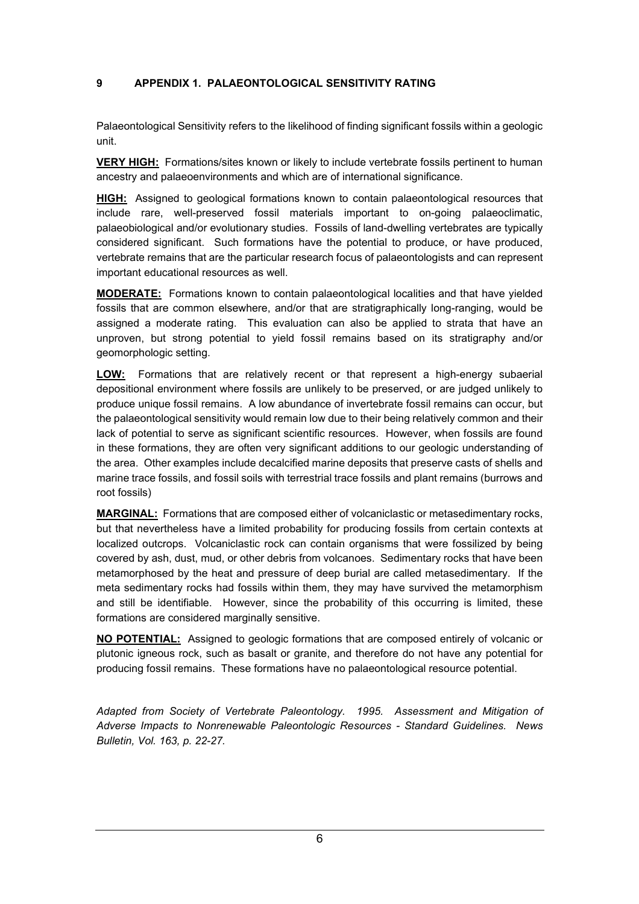### **9 APPENDIX 1. PALAEONTOLOGICAL SENSITIVITY RATING**

Palaeontological Sensitivity refers to the likelihood of finding significant fossils within a geologic unit.

**VERY HIGH:** Formations/sites known or likely to include vertebrate fossils pertinent to human ancestry and palaeoenvironments and which are of international significance.

**HIGH:** Assigned to geological formations known to contain palaeontological resources that include rare, well-preserved fossil materials important to on-going palaeoclimatic, palaeobiological and/or evolutionary studies. Fossils of land-dwelling vertebrates are typically considered significant. Such formations have the potential to produce, or have produced, vertebrate remains that are the particular research focus of palaeontologists and can represent important educational resources as well.

**MODERATE:** Formations known to contain palaeontological localities and that have yielded fossils that are common elsewhere, and/or that are stratigraphically long-ranging, would be assigned a moderate rating. This evaluation can also be applied to strata that have an unproven, but strong potential to yield fossil remains based on its stratigraphy and/or geomorphologic setting.

**LOW:** Formations that are relatively recent or that represent a high-energy subaerial depositional environment where fossils are unlikely to be preserved, or are judged unlikely to produce unique fossil remains. A low abundance of invertebrate fossil remains can occur, but the palaeontological sensitivity would remain low due to their being relatively common and their lack of potential to serve as significant scientific resources. However, when fossils are found in these formations, they are often very significant additions to our geologic understanding of the area. Other examples include decalcified marine deposits that preserve casts of shells and marine trace fossils, and fossil soils with terrestrial trace fossils and plant remains (burrows and root fossils)

**MARGINAL:** Formations that are composed either of volcaniclastic or metasedimentary rocks, but that nevertheless have a limited probability for producing fossils from certain contexts at localized outcrops. Volcaniclastic rock can contain organisms that were fossilized by being covered by ash, dust, mud, or other debris from volcanoes. Sedimentary rocks that have been metamorphosed by the heat and pressure of deep burial are called metasedimentary. If the meta sedimentary rocks had fossils within them, they may have survived the metamorphism and still be identifiable. However, since the probability of this occurring is limited, these formations are considered marginally sensitive.

**NO POTENTIAL:** Assigned to geologic formations that are composed entirely of volcanic or plutonic igneous rock, such as basalt or granite, and therefore do not have any potential for producing fossil remains. These formations have no palaeontological resource potential.

*Adapted from Society of Vertebrate Paleontology. 1995. Assessment and Mitigation of Adverse Impacts to Nonrenewable Paleontologic Resources - Standard Guidelines. News Bulletin, Vol. 163, p. 22-27.*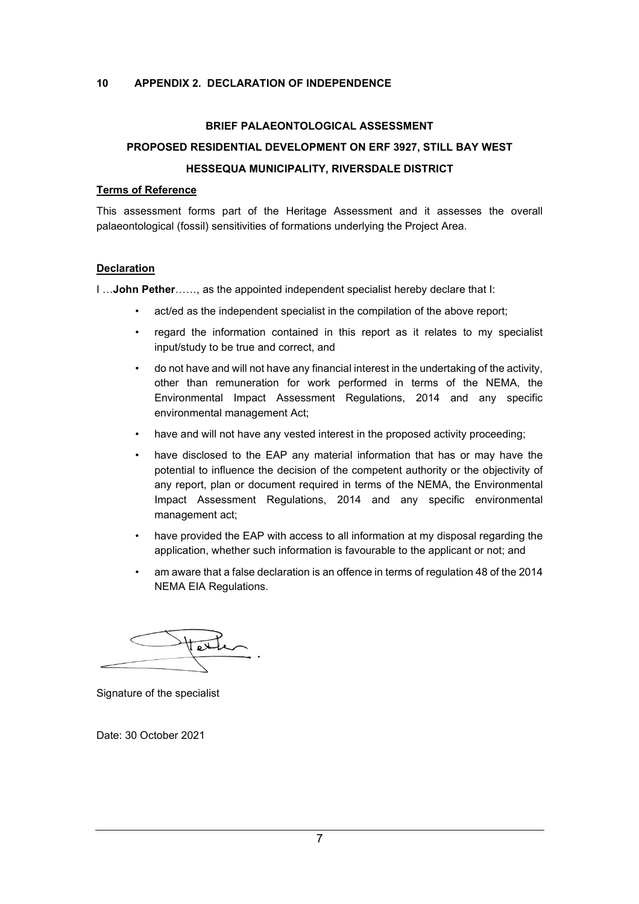### **10 APPENDIX 2. DECLARATION OF INDEPENDENCE**

### **BRIEF PALAEONTOLOGICAL ASSESSMENT**

# **PROPOSED RESIDENTIAL DEVELOPMENT ON ERF 3927, STILL BAY WEST HESSEQUA MUNICIPALITY, RIVERSDALE DISTRICT**

#### **Terms of Reference**

This assessment forms part of the Heritage Assessment and it assesses the overall palaeontological (fossil) sensitivities of formations underlying the Project Area.

#### **Declaration**

I …**John Pether**……, as the appointed independent specialist hereby declare that I:

- act/ed as the independent specialist in the compilation of the above report;
- regard the information contained in this report as it relates to my specialist input/study to be true and correct, and
- do not have and will not have any financial interest in the undertaking of the activity, other than remuneration for work performed in terms of the NEMA, the Environmental Impact Assessment Regulations, 2014 and any specific environmental management Act;
- have and will not have any vested interest in the proposed activity proceeding;
- have disclosed to the EAP any material information that has or may have the potential to influence the decision of the competent authority or the objectivity of any report, plan or document required in terms of the NEMA, the Environmental Impact Assessment Regulations, 2014 and any specific environmental management act;
- have provided the EAP with access to all information at my disposal regarding the application, whether such information is favourable to the applicant or not; and
- am aware that a false declaration is an offence in terms of regulation 48 of the 2014 NEMA EIA Regulations.

Signature of the specialist

Date: 30 October 2021